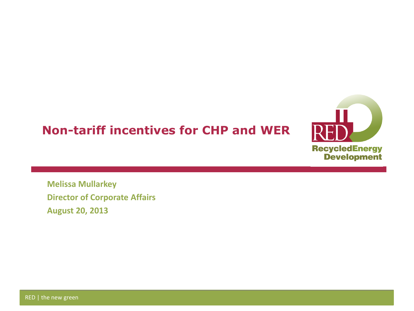## **Non-tariff incentives for CHP and WER**



**Melissa Mullarkey Director of Corporate Affairs August 20, 2013**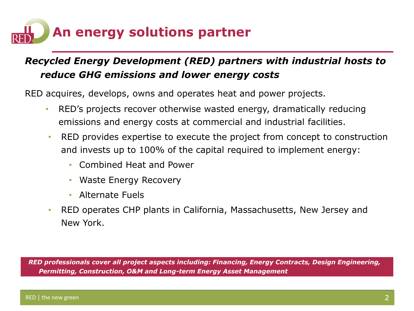

## *Recycled Energy Development (RED) partners with industrial hosts to reduce GHG emissions and lower energy costs*

RED acquires, develops, owns and operates heat and power projects.

- RED's projects recover otherwise wasted energy, dramatically reducing emissions and energy costs at commercial and industrial facilities.
- RED provides expertise to execute the project from concept to construction and invests up to 100% of the capital required to implement energy:
	- Combined Heat and Power
	- Waste Energy Recovery
	- Alternate Fuels
- RED operates CHP plants in California, Massachusetts, New Jersey and New York.

*RED professionals cover all project aspects including: Financing, Energy Contracts, Design Engineering, Permitting, Construction, O&M and Long-term Energy Asset Management*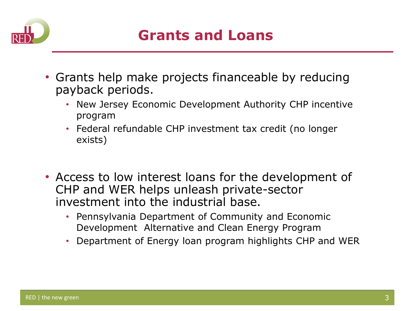

- Grants help make projects financeable by reducing payback periods.
	- New Jersey Economic Development Authority CHP incentive program
	- Federal refundable CHP investment tax credit (no longer exists)
- Access to low interest loans for the development of CHP and WER helps unleash private-sector investment into the industrial base.
	- Pennsylvania Department of Community and Economic Development Alternative and Clean Energy Program
	- Department of Energy loan program highlights CHP and WER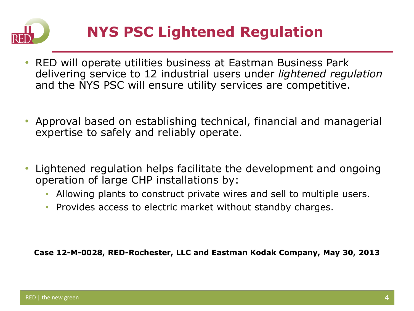

## **NYS PSC Lightened Regulation**

- RED will operate utilities business at Eastman Business Park delivering service to 12 industrial users under *lightened regulation*  and the NYS PSC will ensure utility services are competitive.
- Approval based on establishing technical, financial and managerial expertise to safely and reliably operate.
- Lightened regulation helps facilitate the development and ongoing operation of large CHP installations by:
	- Allowing plants to construct private wires and sell to multiple users.
	- Provides access to electric market without standby charges.

**Case 12-M-0028, RED-Rochester, LLC and Eastman Kodak Company, May 30, 2013**